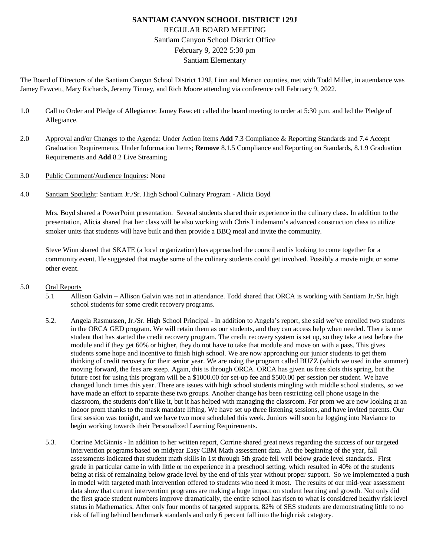# **SANTIAM CANYON SCHOOL DISTRICT 129J** REGULAR BOARD MEETING Santiam Canyon School District Office February 9, 2022 5:30 pm Santiam Elementary

The Board of Directors of the Santiam Canyon School District 129J, Linn and Marion counties, met with Todd Miller, in attendance was Jamey Fawcett, Mary Richards, Jeremy Tinney, and Rich Moore attending via conference call February 9, 2022.

- 1.0 Call to Order and Pledge of Allegiance: Jamey Fawcett called the board meeting to order at 5:30 p.m. and led the Pledge of Allegiance.
- 2.0 Approval and/or Changes to the Agenda: Under Action Items **Add** 7.3 Compliance & Reporting Standards and 7.4 Accept Graduation Requirements. Under Information Items; **Remove** 8.1.5 Compliance and Reporting on Standards, 8.1.9 Graduation Requirements and **Add** 8.2 Live Streaming
- 3.0 Public Comment/Audience Inquires: None
- 4.0 Santiam Spotlight: Santiam Jr./Sr. High School Culinary Program Alicia Boyd

Mrs. Boyd shared a PowerPoint presentation. Several students shared their experience in the culinary class. In addition to the presentation, Alicia shared that her class will be also working with Chris Lindemann's advanced construction class to utilize smoker units that students will have built and then provide a BBQ meal and invite the community.

Steve Winn shared that SKATE (a local organization) has approached the council and is looking to come together for a community event. He suggested that maybe some of the culinary students could get involved. Possibly a movie night or some other event.

#### 5.0 Oral Reports

- 5.1 Allison Galvin Allison Galvin was not in attendance. Todd shared that ORCA is working with Santiam Jr./Sr. high school students for some credit recovery programs.
- 5.2. Angela Rasmussen, Jr./Sr. High School Principal In addition to Angela's report, she said we've enrolled two students in the ORCA GED program. We will retain them as our students, and they can access help when needed. There is one student that has started the credit recovery program. The credit recovery system is set up, so they take a test before the module and if they get 60% or higher, they do not have to take that module and move on with a pass. This gives students some hope and incentive to finish high school. We are now approaching our junior students to get them thinking of credit recovery for their senior year. We are using the program called BUZZ (which we used in the summer) moving forward, the fees are steep. Again, this is through ORCA. ORCA has given us free slots this spring, but the future cost for using this program will be a \$1000.00 for set-up fee and \$500.00 per session per student. We have changed lunch times this year. There are issues with high school students mingling with middle school students, so we have made an effort to separate these two groups. Another change has been restricting cell phone usage in the classroom, the students don't like it, but it has helped with managing the classroom. For prom we are now looking at an indoor prom thanks to the mask mandate lifting. We have set up three listening sessions, and have invited parents. Our first session was tonight, and we have two more scheduled this week. Juniors will soon be logging into Naviance to begin working towards their Personalized Learning Requirements.
- 5.3. Corrine McGinnis In addition to her written report, Corrine shared great news regarding the success of our targeted intervention programs based on midyear Easy CBM Math assessment data. At the beginning of the year, fall assessments indicated that student math skills in 1st through 5th grade fell well below grade level standards. First grade in particular came in with little or no experience in a preschool setting, which resulted in 40% of the students being at risk of remainaing below grade level by the end of this year without proper support. So we implemented a push in model with targeted math intervention offered to students who need it most. The results of our mid-year assessment data show that current intervention programs are making a huge impact on student learning and growth. Not only did the first grade student numbers improve dramatically, the entire school has risen to what is considered healthy risk level status in Mathematics. After only four months of targeted supports, 82% of SES students are demonstrating little to no risk of falling behind benchmark standards and only 6 percent fall into the high risk category.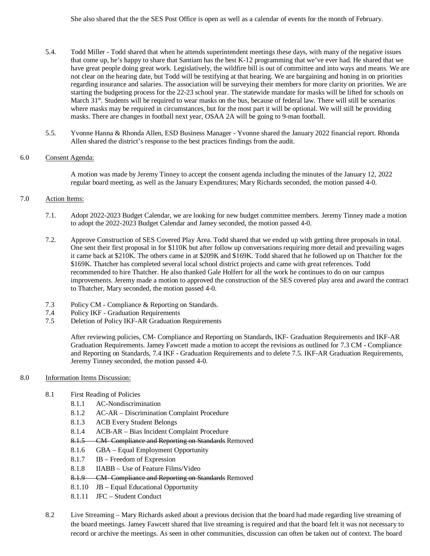- 5.4. Todd Miller Todd shared that when he attends superintendent meetings these days, with many of the negative issues that come up, he's happy to share that Santiam has the best K-12 programming that we've ever had. He shared that we have great people doing great work. Legislatively, the wildfire bill is out of committee and into ways and means. We are not clear on the hearing date, but Todd will be testifying at that hearing. We are bargaining and honing in on priorities regarding insurance and salaries. The association will be surveying their members for more clarity on priorities. We are starting the budgeting process for the 22-23 school year. The statewide mandate for masks will be lifted for schools on March 31<sup>st</sup>. Students will be required to wear masks on the bus, because of federal law. There will still be scenarios where masks may be required in circumstances, but for the most part it will be optional. We will still be providing masks. There are changes in football next year, OSAA 2A will be going to 9-man football.
- 5.5. Yvonne Hanna & Rhonda Allen, ESD Business Manager Yvonne shared the January 2022 financial report. Rhonda Allen shared the district's response to the best practices findings from the audit.

## 6.0 Consent Agenda:

A motion was made by Jeremy Tinney to accept the consent agenda including the minutes of the January 12, 2022 regular board meeting, as well as the January Expenditures; Mary Richards seconded, the motion passed 4-0.

## 7.0 Action Items:

- 7.1. Adopt 2022-2023 Budget Calendar, we are looking for new budget committee members. Jeremy Tinney made a motion to adopt the 2022-2023 Budget Calendar and Jamey seconded, the motion passed 4-0.
- 7.2. Approve Construction of SES Covered Play Area. Todd shared that we ended up with getting three proposals in total. One sent their first proposal in for \$110K but after follow up conversations requiring more detail and prevailing wages it came back at \$210K. The others came in at \$209K and \$169K. Todd shared that he followed up on Thatcher for the \$169K. Thatcher has completed several local school district projects and came with great references. Todd recommended to hire Thatcher. He also thanked Gale Holfert for all the work he continues to do on our campus improvements. Jeremy made a motion to approved the construction of the SES covered play area and award the contract to Thatcher, Mary seconded, the motion passed 4-0.
- 7.3 Policy CM Compliance & Reporting on Standards.
- 7.4 Policy IKF Graduation Requirements
- 7.5 Deletion of Policy IKF-AR Graduation Requirements

After reviewing policies, CM- Compliance and Reporting on Standards, IKF- Graduation Requirements and IKF-AR Graduation Requirements. Jamey Fawcett made a motion to accept the revisions as outlined for 7.3 CM - Compliance and Reporting on Standards, 7.4 IKF - Graduation Requirements and to delete 7.5. IKF-AR Graduation Requirements, Jeremy Tinney seconded, the motion passed 4-0.

#### 8.0 Information Items Discussion:

- 8.1 First Reading of Policies
	- 8.1.1 AC-Nondiscrimination
	- 8.1.2 AC-AR Discrimination Complaint Procedure
	- 8.1.3 ACB Every Student Belongs
	- 8.1.4 ACB-AR Bias Incident Complaint Procedure
	- 8.1.5 CM- Compliance and Reporting on Standards Removed
	- 8.1.6 GBA Equal Employment Opportunity
	- 8.1.7 IB Freedom of Expression
	- 8.1.8 IIABB Use of Feature Films/Video
	- 8.1.9 CM- Compliance and Reporting on Standards Removed
	- 8.1.10 JB Equal Educational Opportunity
	- 8.1.11 JFC Student Conduct
- 8.2 Live Streaming Mary Richards asked about a previous decision that the board had made regarding live streaming of the board meetings. Jamey Fawcett shared that live streaming is required and that the board felt it was not necessary to record or archive the meetings. As seen in other communities, discussion can often be taken out of context. The board